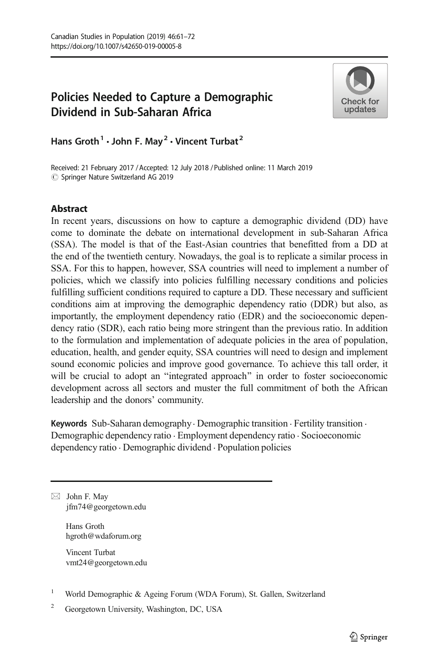# Policies Needed to Capture a Demographic Dividend in Sub-Saharan Africa



Hans Groth<sup>1</sup>  $\cdot$  John F. May<sup>2</sup>  $\cdot$  Vincent Turbat<sup>2</sup>

Received: 21 February 2017 / Accepted: 12 July 2018 /Published online: 11 March 2019  $\circledcirc$  Springer Nature Switzerland AG 2019

# **Abstract**

In recent years, discussions on how to capture a demographic dividend (DD) have come to dominate the debate on international development in sub-Saharan Africa (SSA). The model is that of the East-Asian countries that benefitted from a DD at the end of the twentieth century. Nowadays, the goal is to replicate a similar process in SSA. For this to happen, however, SSA countries will need to implement a number of policies, which we classify into policies fulfilling necessary conditions and policies fulfilling sufficient conditions required to capture a DD. These necessary and sufficient conditions aim at improving the demographic dependency ratio (DDR) but also, as importantly, the employment dependency ratio (EDR) and the socioeconomic dependency ratio (SDR), each ratio being more stringent than the previous ratio. In addition to the formulation and implementation of adequate policies in the area of population, education, health, and gender equity, SSA countries will need to design and implement sound economic policies and improve good governance. To achieve this tall order, it will be crucial to adopt an "integrated approach" in order to foster socioeconomic development across all sectors and muster the full commitment of both the African leadership and the donors' community.

Keywords Sub-Saharan demography · Demographic transition · Fertility transition · Demographic dependency ratio . Employment dependency ratio . Socioeconomic dependency ratio . Demographic dividend . Population policies

 $\boxtimes$  John F. May [jfm74@georgetown.edu](mailto:jfm74@georgetown.edu)

> Hans Groth hgroth@wdaforum.org

Vincent Turbat vmt24@georgetown.edu

- <sup>1</sup> World Demographic & Ageing Forum (WDA Forum), St. Gallen, Switzerland
- <sup>2</sup> Georgetown University, Washington, DC, USA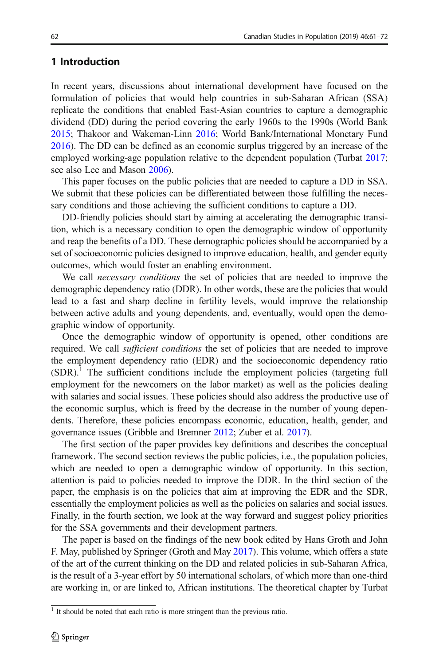# <span id="page-1-0"></span>1 Introduction

In recent years, discussions about international development have focused on the formulation of policies that would help countries in sub-Saharan African (SSA) replicate the conditions that enabled East-Asian countries to capture a demographic dividend (DD) during the period covering the early 1960s to the 1990s (World Bank [2015;](#page-11-0) Thakoor and Wakeman-Linn [2016;](#page-11-0) World Bank/International Monetary Fund [2016\)](#page-11-0). The DD can be defined as an economic surplus triggered by an increase of the employed working-age population relative to the dependent population (Turbat [2017;](#page-11-0) see also Lee and Mason [2006](#page-11-0)).

This paper focuses on the public policies that are needed to capture a DD in SSA. We submit that these policies can be differentiated between those fulfilling the necessary conditions and those achieving the sufficient conditions to capture a DD.

DD-friendly policies should start by aiming at accelerating the demographic transition, which is a necessary condition to open the demographic window of opportunity and reap the benefits of a DD. These demographic policies should be accompanied by a set of socioeconomic policies designed to improve education, health, and gender equity outcomes, which would foster an enabling environment.

We call necessary conditions the set of policies that are needed to improve the demographic dependency ratio (DDR). In other words, these are the policies that would lead to a fast and sharp decline in fertility levels, would improve the relationship between active adults and young dependents, and, eventually, would open the demographic window of opportunity.

Once the demographic window of opportunity is opened, other conditions are required. We call *sufficient conditions* the set of policies that are needed to improve the employment dependency ratio (EDR) and the socioeconomic dependency ratio  $(SDR)$ .<sup>1</sup> The sufficient conditions include the employment policies (targeting full employment for the newcomers on the labor market) as well as the policies dealing with salaries and social issues. These policies should also address the productive use of the economic surplus, which is freed by the decrease in the number of young dependents. Therefore, these policies encompass economic, education, health, gender, and governance issues (Gribble and Bremner [2012;](#page-11-0) Zuber et al. [2017\)](#page-11-0).

The first section of the paper provides key definitions and describes the conceptual framework. The second section reviews the public policies, i.e., the population policies, which are needed to open a demographic window of opportunity. In this section, attention is paid to policies needed to improve the DDR. In the third section of the paper, the emphasis is on the policies that aim at improving the EDR and the SDR, essentially the employment policies as well as the policies on salaries and social issues. Finally, in the fourth section, we look at the way forward and suggest policy priorities for the SSA governments and their development partners.

The paper is based on the findings of the new book edited by Hans Groth and John F. May, published by Springer (Groth and May [2017](#page-11-0)). This volume, which offers a state of the art of the current thinking on the DD and related policies in sub-Saharan Africa, is the result of a 3-year effort by 50 international scholars, of which more than one-third are working in, or are linked to, African institutions. The theoretical chapter by Turbat

<sup>&</sup>lt;sup>1</sup> It should be noted that each ratio is more stringent than the previous ratio.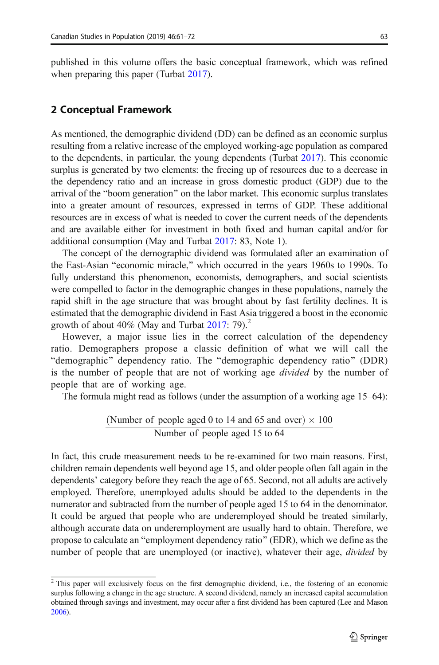published in this volume offers the basic conceptual framework, which was refined when preparing this paper (Turbat [2017](#page-11-0)).

## 2 Conceptual Framework

As mentioned, the demographic dividend (DD) can be defined as an economic surplus resulting from a relative increase of the employed working-age population as compared to the dependents, in particular, the young dependents (Turbat [2017](#page-11-0)). This economic surplus is generated by two elements: the freeing up of resources due to a decrease in the dependency ratio and an increase in gross domestic product (GDP) due to the arrival of the "boom generation" on the labor market. This economic surplus translates into a greater amount of resources, expressed in terms of GDP. These additional resources are in excess of what is needed to cover the current needs of the dependents and are available either for investment in both fixed and human capital and/or for additional consumption (May and Turbat [2017:](#page-11-0) 83, Note 1).

The concept of the demographic dividend was formulated after an examination of the East-Asian "economic miracle," which occurred in the years 1960s to 1990s. To fully understand this phenomenon, economists, demographers, and social scientists were compelled to factor in the demographic changes in these populations, namely the rapid shift in the age structure that was brought about by fast fertility declines. It is estimated that the demographic dividend in East Asia triggered a boost in the economic growth of about 40% (May and Turbat  $2017:79$  $2017:79$ ).<sup>2</sup>

However, a major issue lies in the correct calculation of the dependency ratio. Demographers propose a classic definition of what we will call the "demographic" dependency ratio. The "demographic dependency ratio" (DDR) is the number of people that are not of working age *divided* by the number of people that are of working age.

The formula might read as follows (under the assumption of a working age 15–64):

(Number of people aged 0 to 14 and 65 and over) 
$$
\times
$$
 100  
\nNumber of people aged 15 to 64

In fact, this crude measurement needs to be re-examined for two main reasons. First, children remain dependents well beyond age 15, and older people often fall again in the dependents' category before they reach the age of 65. Second, not all adults are actively employed. Therefore, unemployed adults should be added to the dependents in the numerator and subtracted from the number of people aged 15 to 64 in the denominator. It could be argued that people who are underemployed should be treated similarly, although accurate data on underemployment are usually hard to obtain. Therefore, we propose to calculate an "employment dependency ratio" (EDR), which we define as the number of people that are unemployed (or inactive), whatever their age, *divided* by

<sup>&</sup>lt;sup>2</sup> This paper will exclusively focus on the first demographic dividend, i.e., the fostering of an economic surplus following a change in the age structure. A second dividend, namely an increased capital accumulation obtained through savings and investment, may occur after a first dividend has been captured (Lee and Mason [2006\)](#page-11-0).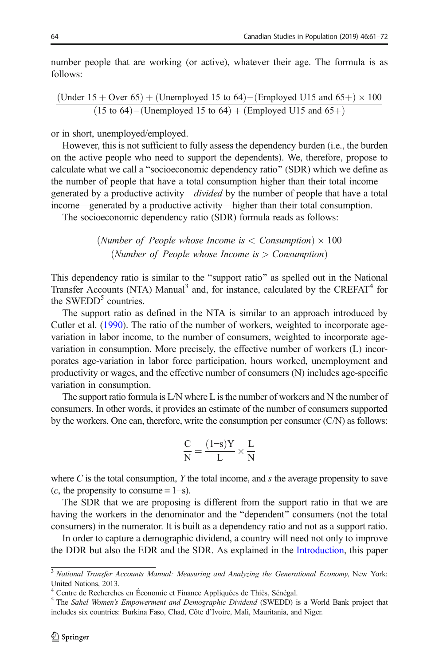number people that are working (or active), whatever their age. The formula is as follows:

$$
\frac{\text{(Under 15 + Over 65)} + \text{(Unemployed 15 to 64)} - \text{(Employee U15 and 65+)} \times 100}{(15 \text{ to 64}) - \text{(Unemployed 15 to 64)} + \text{(Employee U15 and 65+)}}
$$

or in short, unemployed/employed.

However, this is not sufficient to fully assess the dependency burden (i.e., the burden on the active people who need to support the dependents). We, therefore, propose to calculate what we call a "socioeconomic dependency ratio" (SDR) which we define as the number of people that have a total consumption higher than their total income generated by a productive activity—divided by the number of people that have a total income—generated by a productive activity—higher than their total consumption.

The socioeconomic dependency ratio (SDR) formula reads as follows:

$$
\frac{(Number of People whose Income is < Consumption) \times 100}{(Number of People whose Income is > Consumption)}
$$

This dependency ratio is similar to the "support ratio" as spelled out in the National Transfer Accounts (NTA) Manual<sup>3</sup> and, for instance, calculated by the CREFAT<sup>4</sup> for the SWEDD<sup>5</sup> countries.

The support ratio as defined in the NTA is similar to an approach introduced by Cutler et al. [\(1990\)](#page-11-0). The ratio of the number of workers, weighted to incorporate agevariation in labor income, to the number of consumers, weighted to incorporate agevariation in consumption. More precisely, the effective number of workers (L) incorporates age-variation in labor force participation, hours worked, unemployment and productivity or wages, and the effective number of consumers (N) includes age-specific variation in consumption.

The support ratio formula is L/N where L is the number of workers and N the number of consumers. In other words, it provides an estimate of the number of consumers supported by the workers. One can, therefore, write the consumption per consumer (C/N) as follows:

$$
\frac{C}{N} = \frac{(1\text{--}s)Y}{L} \times \frac{L}{N}
$$

where  $C$  is the total consumption,  $Y$  the total income, and  $s$  the average propensity to save  $(c,$  the propensity to consume = 1–s).

The SDR that we are proposing is different from the support ratio in that we are having the workers in the denominator and the "dependent" consumers (not the total consumers) in the numerator. It is built as a dependency ratio and not as a support ratio.

In order to capture a demographic dividend, a country will need not only to improve the DDR but also the EDR and the SDR. As explained in the [Introduction,](#page-1-0) this paper

 $\frac{3}{3}$  National Transfer Accounts Manual: Measuring and Analyzing the Generational Economy, New York: United Nations, 2013.

<sup>4</sup> Centre de Recherches en Économie et Finance Appliquées de Thiès, Sénégal.

<sup>&</sup>lt;sup>5</sup> The Sahel Women's Empowerment and Demographic Dividend (SWEDD) is a World Bank project that includes six countries: Burkina Faso, Chad, Côte d'Ivoire, Mali, Mauritania, and Niger.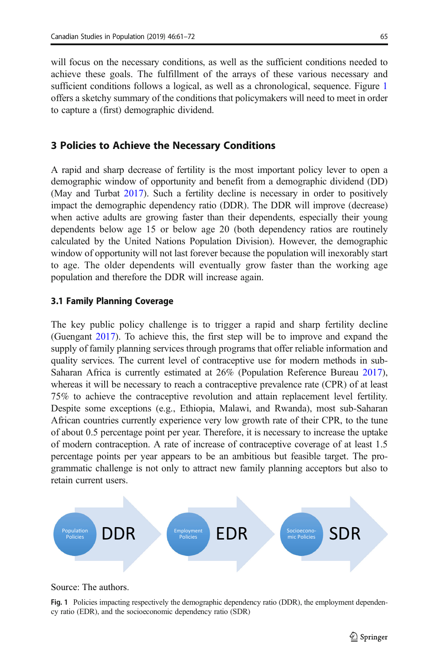will focus on the necessary conditions, as well as the sufficient conditions needed to achieve these goals. The fulfillment of the arrays of these various necessary and sufficient conditions follows a logical, as well as a chronological, sequence. Figure 1 offers a sketchy summary of the conditions that policymakers will need to meet in order to capture a (first) demographic dividend.

## 3 Policies to Achieve the Necessary Conditions

A rapid and sharp decrease of fertility is the most important policy lever to open a demographic window of opportunity and benefit from a demographic dividend (DD) (May and Turbat [2017\)](#page-11-0). Such a fertility decline is necessary in order to positively impact the demographic dependency ratio (DDR). The DDR will improve (decrease) when active adults are growing faster than their dependents, especially their young dependents below age 15 or below age 20 (both dependency ratios are routinely calculated by the United Nations Population Division). However, the demographic window of opportunity will not last forever because the population will inexorably start to age. The older dependents will eventually grow faster than the working age population and therefore the DDR will increase again.

#### 3.1 Family Planning Coverage

The key public policy challenge is to trigger a rapid and sharp fertility decline (Guengant [2017](#page-11-0)). To achieve this, the first step will be to improve and expand the supply of family planning services through programs that offer reliable information and quality services. The current level of contraceptive use for modern methods in sub-Saharan Africa is currently estimated at 26% (Population Reference Bureau [2017\)](#page-11-0), whereas it will be necessary to reach a contraceptive prevalence rate (CPR) of at least 75% to achieve the contraceptive revolution and attain replacement level fertility. Despite some exceptions (e.g., Ethiopia, Malawi, and Rwanda), most sub-Saharan African countries currently experience very low growth rate of their CPR, to the tune of about 0.5 percentage point per year. Therefore, it is necessary to increase the uptake of modern contraception. A rate of increase of contraceptive coverage of at least 1.5 percentage points per year appears to be an ambitious but feasible target. The programmatic challenge is not only to attract new family planning acceptors but also to retain current users.



#### Source: The authors.

Fig. 1 Policies impacting respectively the demographic dependency ratio (DDR), the employment dependency ratio (EDR), and the socioeconomic dependency ratio (SDR)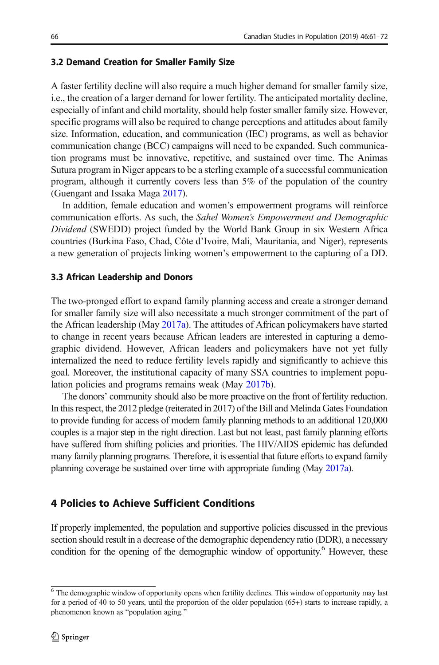### 3.2 Demand Creation for Smaller Family Size

A faster fertility decline will also require a much higher demand for smaller family size, i.e., the creation of a larger demand for lower fertility. The anticipated mortality decline, especially of infant and child mortality, should help foster smaller family size. However, specific programs will also be required to change perceptions and attitudes about family size. Information, education, and communication (IEC) programs, as well as behavior communication change (BCC) campaigns will need to be expanded. Such communication programs must be innovative, repetitive, and sustained over time. The Animas Sutura program in Niger appears to be a sterling example of a successful communication program, although it currently covers less than 5% of the population of the country (Guengant and Issaka Maga [2017](#page-11-0)).

In addition, female education and women's empowerment programs will reinforce communication efforts. As such, the Sahel Women's Empowerment and Demographic Dividend (SWEDD) project funded by the World Bank Group in six Western Africa countries (Burkina Faso, Chad, Côte d'Ivoire, Mali, Mauritania, and Niger), represents a new generation of projects linking women's empowerment to the capturing of a DD.

## 3.3 African Leadership and Donors

The two-pronged effort to expand family planning access and create a stronger demand for smaller family size will also necessitate a much stronger commitment of the part of the African leadership (May [2017a\)](#page-11-0). The attitudes of African policymakers have started to change in recent years because African leaders are interested in capturing a demographic dividend. However, African leaders and policymakers have not yet fully internalized the need to reduce fertility levels rapidly and significantly to achieve this goal. Moreover, the institutional capacity of many SSA countries to implement population policies and programs remains weak (May [2017b\)](#page-11-0).

The donors' community should also be more proactive on the front of fertility reduction. In this respect, the 2012 pledge (reiterated in 2017) of the Bill and Melinda Gates Foundation to provide funding for access of modern family planning methods to an additional 120,000 couples is a major step in the right direction. Last but not least, past family planning efforts have suffered from shifting policies and priorities. The HIV/AIDS epidemic has defunded many family planning programs. Therefore, it is essential that future efforts to expand family planning coverage be sustained over time with appropriate funding (May [2017a\)](#page-11-0).

## 4 Policies to Achieve Sufficient Conditions

If properly implemented, the population and supportive policies discussed in the previous section should result in a decrease of the demographic dependency ratio (DDR), a necessary condition for the opening of the demographic window of opportunity.<sup>6</sup> However, these

<sup>&</sup>lt;sup>6</sup> The demographic window of opportunity opens when fertility declines. This window of opportunity may last for a period of 40 to 50 years, until the proportion of the older population (65+) starts to increase rapidly, a phenomenon known as "population aging."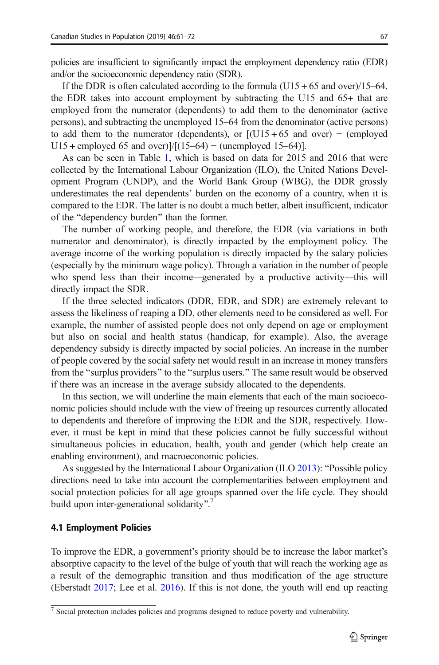policies are insufficient to significantly impact the employment dependency ratio (EDR) and/or the socioeconomic dependency ratio (SDR).

If the DDR is often calculated according to the formula  $(U15 + 65)$  and over)/15–64, the EDR takes into account employment by subtracting the U15 and 65+ that are employed from the numerator (dependents) to add them to the denominator (active persons), and subtracting the unemployed 15–64 from the denominator (active persons) to add them to the numerator (dependents), or  $[(U15 + 65 \text{ and over}) - (employed$ U15 + employed 65 and over)]/ $[(15–64) - (unemployed 15–64)].$ 

As can be seen in Table [1](#page-7-0), which is based on data for 2015 and 2016 that were collected by the International Labour Organization (ILO), the United Nations Development Program (UNDP), and the World Bank Group (WBG), the DDR grossly underestimates the real dependents' burden on the economy of a country, when it is compared to the EDR. The latter is no doubt a much better, albeit insufficient, indicator of the "dependency burden" than the former.

The number of working people, and therefore, the EDR (via variations in both numerator and denominator), is directly impacted by the employment policy. The average income of the working population is directly impacted by the salary policies (especially by the minimum wage policy). Through a variation in the number of people who spend less than their income—generated by a productive activity—this will directly impact the SDR.

If the three selected indicators (DDR, EDR, and SDR) are extremely relevant to assess the likeliness of reaping a DD, other elements need to be considered as well. For example, the number of assisted people does not only depend on age or employment but also on social and health status (handicap, for example). Also, the average dependency subsidy is directly impacted by social policies. An increase in the number of people covered by the social safety net would result in an increase in money transfers from the "surplus providers" to the "surplus users." The same result would be observed if there was an increase in the average subsidy allocated to the dependents.

In this section, we will underline the main elements that each of the main socioeconomic policies should include with the view of freeing up resources currently allocated to dependents and therefore of improving the EDR and the SDR, respectively. However, it must be kept in mind that these policies cannot be fully successful without simultaneous policies in education, health, youth and gender (which help create an enabling environment), and macroeconomic policies.

As suggested by the International Labour Organization (ILO  $2013$ ): "Possible policy directions need to take into account the complementarities between employment and social protection policies for all age groups spanned over the life cycle. They should build upon inter-generational solidarity".<sup>7</sup>

#### 4.1 Employment Policies

To improve the EDR, a government's priority should be to increase the labor market's absorptive capacity to the level of the bulge of youth that will reach the working age as a result of the demographic transition and thus modification of the age structure (Eberstadt [2017;](#page-11-0) Lee et al. [2016](#page-11-0)). If this is not done, the youth will end up reacting

<sup>&</sup>lt;sup>7</sup> Social protection includes policies and programs designed to reduce poverty and vulnerability.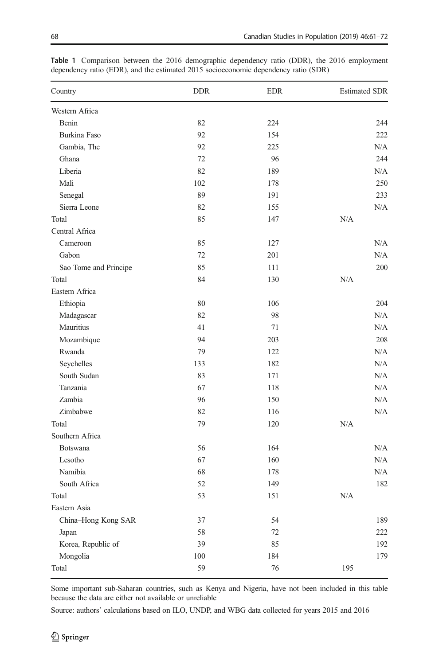| Country               | <b>DDR</b> | <b>EDR</b> | <b>Estimated SDR</b> |
|-----------------------|------------|------------|----------------------|
| Western Africa        |            |            |                      |
| Benin                 | 82         | 224        | 244                  |
| Burkina Faso          | 92         | 154        | 222                  |
| Gambia, The           | 92         | 225        | N/A                  |
| Ghana                 | 72         | 96         | 244                  |
| Liberia               | 82         | 189        | N/A                  |
| Mali                  | 102        | 178        | 250                  |
| Senegal               | 89         | 191        | 233                  |
| Sierra Leone          | 82         | 155        | N/A                  |
| Total                 | 85         | 147        | N/A                  |
| Central Africa        |            |            |                      |
| Cameroon              | 85         | 127        | N/A                  |
| Gabon                 | 72         | 201        | N/A                  |
| Sao Tome and Principe | 85         | 111        | 200                  |
| Total                 | 84         | 130        | N/A                  |
| Eastern Africa        |            |            |                      |
| Ethiopia              | 80         | 106        | 204                  |
| Madagascar            | 82         | 98         | N/A                  |
| Mauritius             | 41         | 71         | N/A                  |
| Mozambique            | 94         | 203        | 208                  |
| Rwanda                | 79         | 122        | N/A                  |
| Seychelles            | 133        | 182        | N/A                  |
| South Sudan           | 83         | 171        | N/A                  |
| Tanzania              | 67         | 118        | N/A                  |
| Zambia                | 96         | 150        | N/A                  |
| Zimbabwe              | 82         | 116        | N/A                  |
| Total                 | 79         | 120        | N/A                  |
| Southern Africa       |            |            |                      |
| Botswana              | 56         | 164        | N/A                  |
| Lesotho               | 67         | 160        | N/A                  |
| Namibia               | 68         | 178        | N/A                  |
| South Africa          | 52         | 149        | 182                  |
| Total                 | 53         | 151        | N/A                  |
| Eastern Asia          |            |            |                      |
| China-Hong Kong SAR   | 37         | 54         | 189                  |
| Japan                 | 58         | 72         | 222                  |
| Korea, Republic of    | 39         | 85         | 192                  |
| Mongolia              | 100        | 184        | 179                  |
| Total                 | 59         | 76         | 195                  |

<span id="page-7-0"></span>Table 1 Comparison between the 2016 demographic dependency ratio (DDR), the 2016 employment dependency ratio (EDR), and the estimated 2015 socioeconomic dependency ratio (SDR)

Some important sub-Saharan countries, such as Kenya and Nigeria, have not been included in this table because the data are either not available or unreliable

Source: authors' calculations based on ILO, UNDP, and WBG data collected for years 2015 and 2016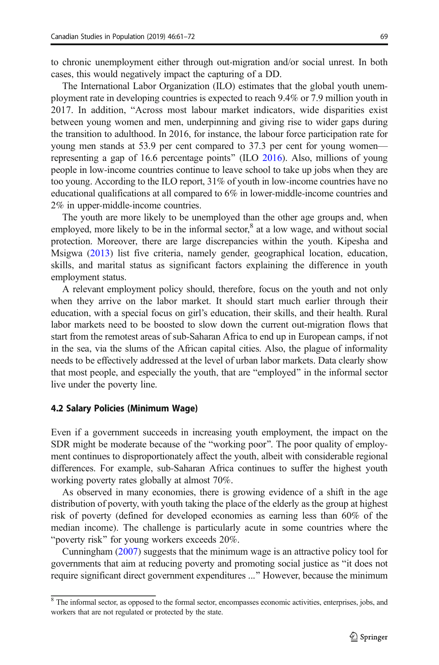cases, this would negatively impact the capturing of a DD.

The International Labor Organization (ILO) estimates that the global youth unemployment rate in developing countries is expected to reach 9.4% or 7.9 million youth in 2017. In addition, "Across most labour market indicators, wide disparities exist between young women and men, underpinning and giving rise to wider gaps during the transition to adulthood. In 2016, for instance, the labour force participation rate for young men stands at 53.9 per cent compared to 37.3 per cent for young women— representing a gap of 16.6 percentage points" (ILO [2016](#page-11-0)). Also, millions of young people in low-income countries continue to leave school to take up jobs when they are too young. According to the ILO report, 31% of youth in low-income countries have no educational qualifications at all compared to 6% in lower-middle-income countries and 2% in upper-middle-income countries.

The youth are more likely to be unemployed than the other age groups and, when employed, more likely to be in the informal sector, $^8$  at a low wage, and without social protection. Moreover, there are large discrepancies within the youth. Kipesha and Msigwa [\(2013](#page-11-0)) list five criteria, namely gender, geographical location, education, skills, and marital status as significant factors explaining the difference in youth employment status.

A relevant employment policy should, therefore, focus on the youth and not only when they arrive on the labor market. It should start much earlier through their education, with a special focus on girl's education, their skills, and their health. Rural labor markets need to be boosted to slow down the current out-migration flows that start from the remotest areas of sub-Saharan Africa to end up in European camps, if not in the sea, via the slums of the African capital cities. Also, the plague of informality needs to be effectively addressed at the level of urban labor markets. Data clearly show that most people, and especially the youth, that are "employed" in the informal sector live under the poverty line.

#### 4.2 Salary Policies (Minimum Wage)

Even if a government succeeds in increasing youth employment, the impact on the SDR might be moderate because of the "working poor". The poor quality of employment continues to disproportionately affect the youth, albeit with considerable regional differences. For example, sub-Saharan Africa continues to suffer the highest youth working poverty rates globally at almost 70%.

As observed in many economies, there is growing evidence of a shift in the age distribution of poverty, with youth taking the place of the elderly as the group at highest risk of poverty (defined for developed economies as earning less than 60% of the median income). The challenge is particularly acute in some countries where the "poverty risk" for young workers exceeds 20%.

Cunningham [\(2007](#page-11-0)) suggests that the minimum wage is an attractive policy tool for governments that aim at reducing poverty and promoting social justice as "it does not require significant direct government expenditures ..." However, because the minimum

 $8$  The informal sector, as opposed to the formal sector, encompasses economic activities, enterprises, jobs, and workers that are not regulated or protected by the state.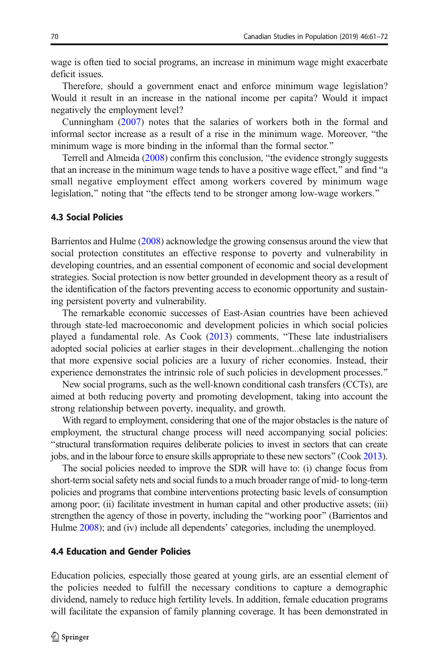wage is often tied to social programs, an increase in minimum wage might exacerbate deficit issues.

Therefore, should a government enact and enforce minimum wage legislation? Would it result in an increase in the national income per capita? Would it impact negatively the employment level?

Cunningham [\(2007](#page-11-0)) notes that the salaries of workers both in the formal and informal sector increase as a result of a rise in the minimum wage. Moreover, "the minimum wage is more binding in the informal than the formal sector.<sup>"</sup>

Terrell and Almeida  $(2008)$  confirm this conclusion, "the evidence strongly suggests that an increase in the minimum wage tends to have a positive wage effect," and find "a small negative employment effect among workers covered by minimum wage legislation," noting that "the effects tend to be stronger among low-wage workers."

### 4.3 Social Policies

Barrientos and Hulme [\(2008\)](#page-10-0) acknowledge the growing consensus around the view that social protection constitutes an effective response to poverty and vulnerability in developing countries, and an essential component of economic and social development strategies. Social protection is now better grounded in development theory as a result of the identification of the factors preventing access to economic opportunity and sustaining persistent poverty and vulnerability.

The remarkable economic successes of East-Asian countries have been achieved through state-led macroeconomic and development policies in which social policies played a fundamental role. As  $Cook$   $(2013)$  $(2013)$  comments, "These late industrialisers adopted social policies at earlier stages in their development...challenging the notion that more expensive social policies are a luxury of richer economies. Instead, their experience demonstrates the intrinsic role of such policies in development processes.<sup>"</sup>

New social programs, such as the well-known conditional cash transfers (CCTs), are aimed at both reducing poverty and promoting development, taking into account the strong relationship between poverty, inequality, and growth.

With regard to employment, considering that one of the major obstacles is the nature of employment, the structural change process will need accompanying social policies: Bstructural transformation requires deliberate policies to invest in sectors that can create jobs, and in the labour force to ensure skills appropriate to these new sectors^ (Cook [2013\)](#page-11-0).

The social policies needed to improve the SDR will have to: (i) change focus from short-term social safety nets and social funds to a much broader range of mid- to long-term policies and programs that combine interventions protecting basic levels of consumption among poor; (ii) facilitate investment in human capital and other productive assets; (iii) strengthen the agency of those in poverty, including the "working poor" (Barrientos and Hulme  $2008$ ); and (iv) include all dependents' categories, including the unemployed.

#### 4.4 Education and Gender Policies

Education policies, especially those geared at young girls, are an essential element of the policies needed to fulfill the necessary conditions to capture a demographic dividend, namely to reduce high fertility levels. In addition, female education programs will facilitate the expansion of family planning coverage. It has been demonstrated in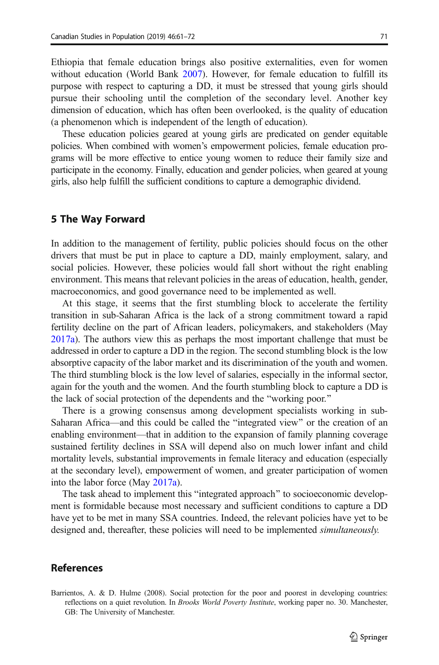<span id="page-10-0"></span>Ethiopia that female education brings also positive externalities, even for women without education (World Bank [2007\)](#page-11-0). However, for female education to fulfill its purpose with respect to capturing a DD, it must be stressed that young girls should pursue their schooling until the completion of the secondary level. Another key dimension of education, which has often been overlooked, is the quality of education (a phenomenon which is independent of the length of education).

These education policies geared at young girls are predicated on gender equitable policies. When combined with women's empowerment policies, female education programs will be more effective to entice young women to reduce their family size and participate in the economy. Finally, education and gender policies, when geared at young girls, also help fulfill the sufficient conditions to capture a demographic dividend.

### 5 The Way Forward

In addition to the management of fertility, public policies should focus on the other drivers that must be put in place to capture a DD, mainly employment, salary, and social policies. However, these policies would fall short without the right enabling environment. This means that relevant policies in the areas of education, health, gender, macroeconomics, and good governance need to be implemented as well.

At this stage, it seems that the first stumbling block to accelerate the fertility transition in sub-Saharan Africa is the lack of a strong commitment toward a rapid fertility decline on the part of African leaders, policymakers, and stakeholders (May [2017a\)](#page-11-0). The authors view this as perhaps the most important challenge that must be addressed in order to capture a DD in the region. The second stumbling block is the low absorptive capacity of the labor market and its discrimination of the youth and women. The third stumbling block is the low level of salaries, especially in the informal sector, again for the youth and the women. And the fourth stumbling block to capture a DD is the lack of social protection of the dependents and the "working poor."

There is a growing consensus among development specialists working in sub-Saharan Africa—and this could be called the "integrated view" or the creation of an enabling environment—that in addition to the expansion of family planning coverage sustained fertility declines in SSA will depend also on much lower infant and child mortality levels, substantial improvements in female literacy and education (especially at the secondary level), empowerment of women, and greater participation of women into the labor force (May [2017a](#page-11-0)).

The task ahead to implement this "integrated approach" to socioeconomic development is formidable because most necessary and sufficient conditions to capture a DD have yet to be met in many SSA countries. Indeed, the relevant policies have yet to be designed and, thereafter, these policies will need to be implemented *simultaneously*.

### References

Barrientos, A. & D. Hulme (2008). Social protection for the poor and poorest in developing countries: reflections on a quiet revolution. In Brooks World Poverty Institute, working paper no. 30. Manchester, GB: The University of Manchester.